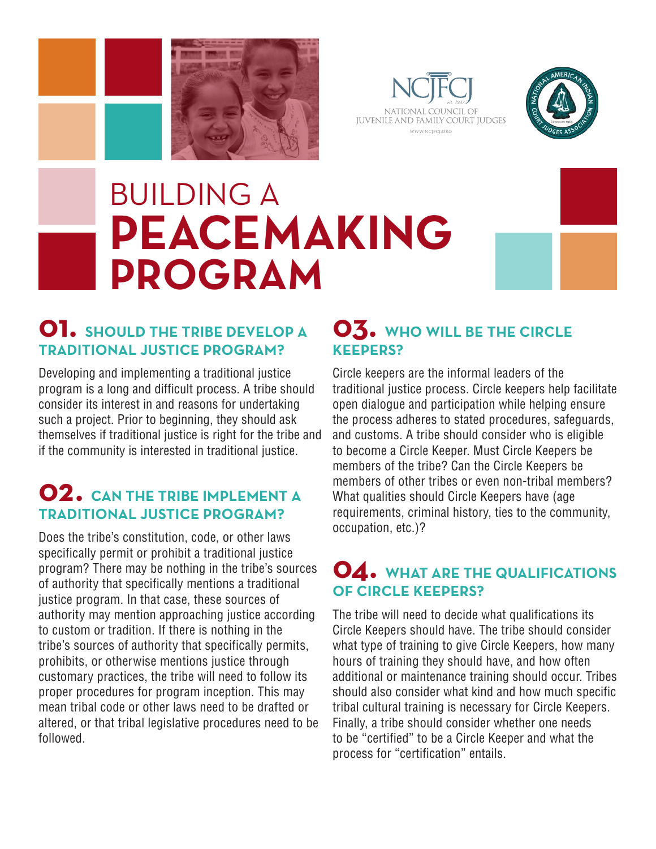





# BUILDING A **PEACEMAKING PROGRAM**



## **01. SHOULD THE TRIBE DEVELOP A TRADITIONAL JUSTICE PROGRAM?**

Developing and implementing a traditional justice program is a long and difficult process. A tribe should consider its interest in and reasons for undertaking such a project. Prior to beginning, they should ask themselves if traditional justice is right for the tribe and if the community is interested in traditional justice.

## **02. CAN THE TRIBE IMPLEMENT A TRADITIONAL JUSTICE PROGRAM?**

Does the tribe's constitution, code, or other laws specifically permit or prohibit a traditional justice program? There may be nothing in the tribe's sources of authority that specifically mentions a traditional justice program. In that case, these sources of authority may mention approaching justice according to custom or tradition. If there is nothing in the tribe's sources of authority that specifically permits, prohibits, or otherwise mentions justice through customary practices, the tribe will need to follow its proper procedures for program inception. This may mean tribal code or other laws need to be drafted or altered, or that tribal legislative procedures need to be followed.

### **03. WHO WILL BE THE CIRCLE KEEPERS?**

Circle keepers are the informal leaders of the traditional justice process. Circle keepers help facilitate open dialogue and participation while helping ensure the process adheres to stated procedures, safeguards, and customs. A tribe should consider who is eligible to become a Circle Keeper. Must Circle Keepers be members of the tribe? Can the Circle Keepers be members of other tribes or even non-tribal members? What qualities should Circle Keepers have (age requirements, criminal history, ties to the community, occupation, etc.)?

## **04. WHAT ARE THE QUALIFICATIONS OF CIRCLE KEEPERS?**

The tribe will need to decide what qualifications its Circle Keepers should have. The tribe should consider what type of training to give Circle Keepers, how many hours of training they should have, and how often additional or maintenance training should occur. Tribes should also consider what kind and how much specific tribal cultural training is necessary for Circle Keepers. Finally, a tribe should consider whether one needs to be "certified" to be a Circle Keeper and what the process for "certification" entails.